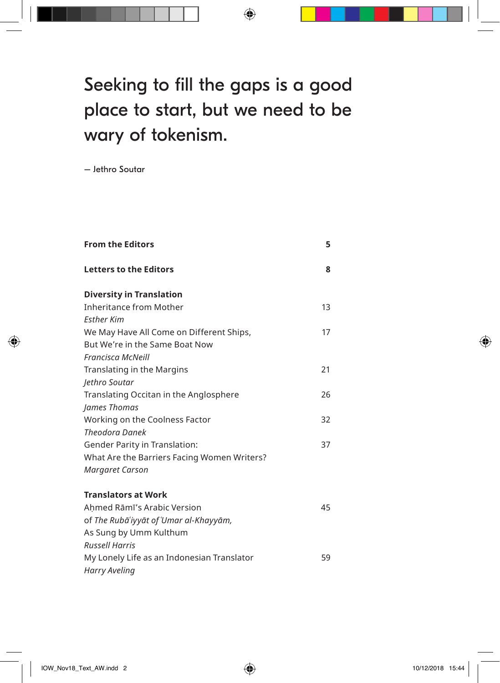## Seeking to fill the gaps is a good place to start, but we need to be wary of tokenism.

 $\bigoplus$ 

– Jethro Soutar

◈

| <b>From the Editors</b>                     | 5  |
|---------------------------------------------|----|
| <b>Letters to the Editors</b>               | 8  |
| <b>Diversity in Translation</b>             |    |
| <b>Inheritance from Mother</b>              | 13 |
| <b>Fsther Kim</b>                           |    |
| We May Have All Come on Different Ships,    | 17 |
| But We're in the Same Boat Now              |    |
| <b>Francisca McNeill</b>                    |    |
| Translating in the Margins                  | 21 |
| Jethro Soutar                               |    |
| Translating Occitan in the Anglosphere      | 26 |
| James Thomas                                |    |
| Working on the Coolness Factor              | 32 |
| <b>Theodora Danek</b>                       |    |
| <b>Gender Parity in Translation:</b>        | 37 |
| What Are the Barriers Facing Women Writers? |    |
| Margaret Carson                             |    |
| <b>Translators at Work</b>                  |    |
| Ahmed Rāmī's Arabic Version                 | 45 |
| of The Rubā'iyyāt of 'Umar al-Khayyām,      |    |
| As Sung by Umm Kulthum                      |    |
| <b>Russell Harris</b>                       |    |
| My Lonely Life as an Indonesian Translator  | 59 |
| Harry Aveling                               |    |

 $\bigoplus$